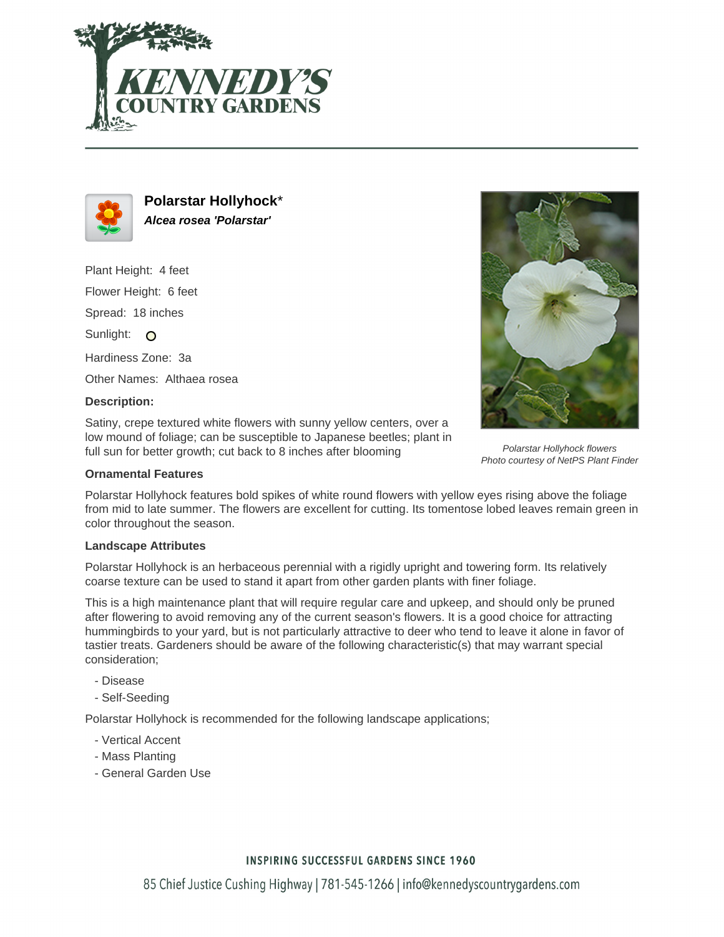



**Polarstar Hollyhock**\* **Alcea rosea 'Polarstar'**

Plant Height: 4 feet Flower Height: 6 feet Spread: 18 inches Sunlight: O Hardiness Zone: 3a Other Names: Althaea rosea

#### **Description:**

Satiny, crepe textured white flowers with sunny yellow centers, over a low mound of foliage; can be susceptible to Japanese beetles; plant in full sun for better growth; cut back to 8 inches after blooming

### **Ornamental Features**

Polarstar Hollyhock features bold spikes of white round flowers with yellow eyes rising above the foliage from mid to late summer. The flowers are excellent for cutting. Its tomentose lobed leaves remain green in color throughout the season.

#### **Landscape Attributes**

Polarstar Hollyhock is an herbaceous perennial with a rigidly upright and towering form. Its relatively coarse texture can be used to stand it apart from other garden plants with finer foliage.

This is a high maintenance plant that will require regular care and upkeep, and should only be pruned after flowering to avoid removing any of the current season's flowers. It is a good choice for attracting hummingbirds to your yard, but is not particularly attractive to deer who tend to leave it alone in favor of tastier treats. Gardeners should be aware of the following characteristic(s) that may warrant special consideration;

- Disease
- Self-Seeding

Polarstar Hollyhock is recommended for the following landscape applications;

- Vertical Accent
- Mass Planting
- General Garden Use



Polarstar Hollyhock flowers Photo courtesy of NetPS Plant Finder

# **INSPIRING SUCCESSFUL GARDENS SINCE 1960**